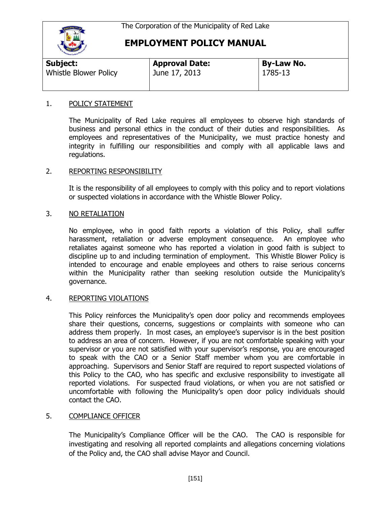

# **EMPLOYMENT POLICY MANUAL**

| Subject:                     | <b>Approval Date:</b> | <b>By-Law No.</b> |  |
|------------------------------|-----------------------|-------------------|--|
| <b>Whistle Blower Policy</b> | June 17, 2013         | 1785-13           |  |

### 1. POLICY STATEMENT

The Municipality of Red Lake requires all employees to observe high standards of business and personal ethics in the conduct of their duties and responsibilities. As employees and representatives of the Municipality, we must practice honesty and integrity in fulfilling our responsibilities and comply with all applicable laws and regulations.

## 2. REPORTING RESPONSIBILITY

It is the responsibility of all employees to comply with this policy and to report violations or suspected violations in accordance with the Whistle Blower Policy.

## 3. NO RETALIATION

No employee, who in good faith reports a violation of this Policy, shall suffer harassment, retaliation or adverse employment consequence. An employee who retaliates against someone who has reported a violation in good faith is subject to discipline up to and including termination of employment. This Whistle Blower Policy is intended to encourage and enable employees and others to raise serious concerns within the Municipality rather than seeking resolution outside the Municipality's governance.

### 4. REPORTING VIOLATIONS

This Policy reinforces the Municipality's open door policy and recommends employees share their questions, concerns, suggestions or complaints with someone who can address them properly. In most cases, an employee's supervisor is in the best position to address an area of concern. However, if you are not comfortable speaking with your supervisor or you are not satisfied with your supervisor's response, you are encouraged to speak with the CAO or a Senior Staff member whom you are comfortable in approaching. Supervisors and Senior Staff are required to report suspected violations of this Policy to the CAO, who has specific and exclusive responsibility to investigate all reported violations. For suspected fraud violations, or when you are not satisfied or uncomfortable with following the Municipality's open door policy individuals should contact the CAO.

## 5. COMPLIANCE OFFICER

The Municipality's Compliance Officer will be the CAO. The CAO is responsible for investigating and resolving all reported complaints and allegations concerning violations of the Policy and, the CAO shall advise Mayor and Council.